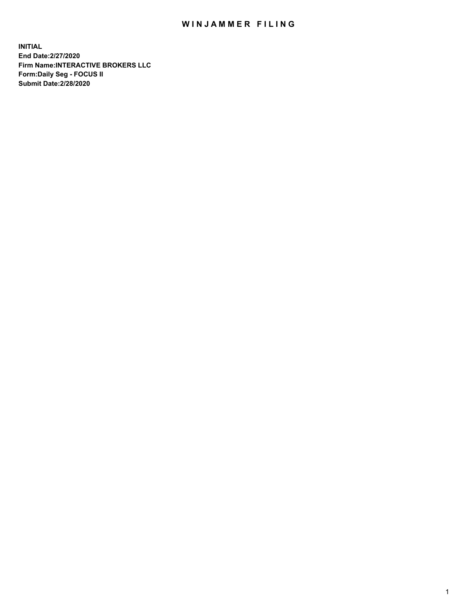## WIN JAMMER FILING

**INITIAL End Date:2/27/2020 Firm Name:INTERACTIVE BROKERS LLC Form:Daily Seg - FOCUS II Submit Date:2/28/2020**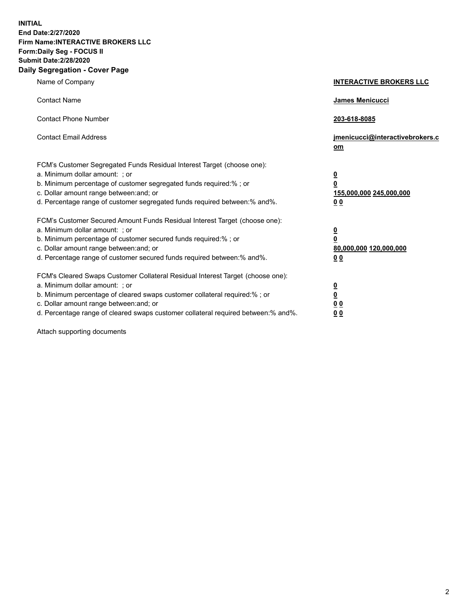**INITIAL End Date:2/27/2020 Firm Name:INTERACTIVE BROKERS LLC Form:Daily Seg - FOCUS II Submit Date:2/28/2020 Daily Segregation - Cover Page**

| Name of Company                                                                                                                                                                                                                                                                                                               | <b>INTERACTIVE BROKERS LLC</b>                                                                  |
|-------------------------------------------------------------------------------------------------------------------------------------------------------------------------------------------------------------------------------------------------------------------------------------------------------------------------------|-------------------------------------------------------------------------------------------------|
| <b>Contact Name</b>                                                                                                                                                                                                                                                                                                           | James Menicucci                                                                                 |
| <b>Contact Phone Number</b>                                                                                                                                                                                                                                                                                                   | 203-618-8085                                                                                    |
| <b>Contact Email Address</b>                                                                                                                                                                                                                                                                                                  | jmenicucci@interactivebrokers.c<br><u>om</u>                                                    |
| FCM's Customer Segregated Funds Residual Interest Target (choose one):<br>a. Minimum dollar amount: ; or<br>b. Minimum percentage of customer segregated funds required:% ; or<br>c. Dollar amount range between: and; or<br>d. Percentage range of customer segregated funds required between:% and%.                        | $\overline{\mathbf{0}}$<br>$\overline{\mathbf{0}}$<br>155,000,000 245,000,000<br>0 <sub>0</sub> |
| FCM's Customer Secured Amount Funds Residual Interest Target (choose one):<br>a. Minimum dollar amount: ; or<br>b. Minimum percentage of customer secured funds required:%; or<br>c. Dollar amount range between: and; or<br>d. Percentage range of customer secured funds required between:% and%.                           | $\overline{\mathbf{0}}$<br>$\overline{\mathbf{0}}$<br>80,000,000 120,000,000<br>0 <sub>0</sub>  |
| FCM's Cleared Swaps Customer Collateral Residual Interest Target (choose one):<br>a. Minimum dollar amount: ; or<br>b. Minimum percentage of cleared swaps customer collateral required:%; or<br>c. Dollar amount range between: and; or<br>d. Percentage range of cleared swaps customer collateral required between:% and%. | $\overline{\mathbf{0}}$<br>$\overline{\mathbf{0}}$<br>0 <sub>0</sub><br>0 <sub>0</sub>          |

Attach supporting documents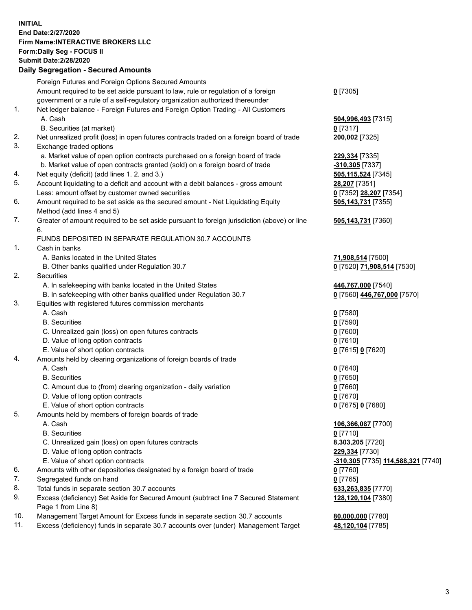**INITIAL End Date:2/27/2020 Firm Name:INTERACTIVE BROKERS LLC Form:Daily Seg - FOCUS II Submit Date:2/28/2020 Daily Segregation - Secured Amounts**

|     | Foreign Futures and Foreign Options Secured Amounts                                         |                                                  |
|-----|---------------------------------------------------------------------------------------------|--------------------------------------------------|
|     | Amount required to be set aside pursuant to law, rule or regulation of a foreign            | $0$ [7305]                                       |
|     | government or a rule of a self-regulatory organization authorized thereunder                |                                                  |
| 1.  | Net ledger balance - Foreign Futures and Foreign Option Trading - All Customers             |                                                  |
|     | A. Cash                                                                                     | 504,996,493 [7315]                               |
|     | B. Securities (at market)                                                                   | $0$ [7317]                                       |
| 2.  | Net unrealized profit (loss) in open futures contracts traded on a foreign board of trade   | 200,002 [7325]                                   |
| 3.  | Exchange traded options                                                                     |                                                  |
|     | a. Market value of open option contracts purchased on a foreign board of trade              | 229,334 [7335]                                   |
|     | b. Market value of open contracts granted (sold) on a foreign board of trade                | -310,305 [7337]                                  |
| 4.  | Net equity (deficit) (add lines 1.2. and 3.)                                                | 505,115,524 [7345]                               |
| 5.  | Account liquidating to a deficit and account with a debit balances - gross amount           | 28,207 [7351]                                    |
|     | Less: amount offset by customer owned securities                                            | 0 [7352] 28,207 [7354]                           |
| 6.  | Amount required to be set aside as the secured amount - Net Liquidating Equity              | 505,143,731 [7355]                               |
|     | Method (add lines 4 and 5)                                                                  |                                                  |
| 7.  | Greater of amount required to be set aside pursuant to foreign jurisdiction (above) or line | 505,143,731 [7360]                               |
|     | 6.                                                                                          |                                                  |
| 1.  | FUNDS DEPOSITED IN SEPARATE REGULATION 30.7 ACCOUNTS                                        |                                                  |
|     | Cash in banks                                                                               |                                                  |
|     | A. Banks located in the United States                                                       | 71,908,514 [7500]                                |
| 2.  | B. Other banks qualified under Regulation 30.7<br>Securities                                | 0 [7520] 71,908,514 [7530]                       |
|     | A. In safekeeping with banks located in the United States                                   | 446,767,000 [7540]                               |
|     | B. In safekeeping with other banks qualified under Regulation 30.7                          | 0 [7560] 446,767,000 [7570]                      |
| 3.  | Equities with registered futures commission merchants                                       |                                                  |
|     | A. Cash                                                                                     | $0$ [7580]                                       |
|     | <b>B.</b> Securities                                                                        | $0$ [7590]                                       |
|     | C. Unrealized gain (loss) on open futures contracts                                         | $0$ [7600]                                       |
|     | D. Value of long option contracts                                                           | $0$ [7610]                                       |
|     | E. Value of short option contracts                                                          | 0 [7615] 0 [7620]                                |
| 4.  | Amounts held by clearing organizations of foreign boards of trade                           |                                                  |
|     | A. Cash                                                                                     | $Q$ [7640]                                       |
|     | <b>B.</b> Securities                                                                        | $0$ [7650]                                       |
|     | C. Amount due to (from) clearing organization - daily variation                             | $0$ [7660]                                       |
|     | D. Value of long option contracts                                                           | $0$ [7670]                                       |
|     | E. Value of short option contracts                                                          | 0 [7675] 0 [7680]                                |
| 5.  | Amounts held by members of foreign boards of trade                                          |                                                  |
|     | A. Cash                                                                                     | 106,366,087 [7700]                               |
|     | <b>B.</b> Securities                                                                        | $0$ [7710]                                       |
|     | C. Unrealized gain (loss) on open futures contracts                                         | 8,303,205 [7720]                                 |
|     | D. Value of long option contracts                                                           | 229,334 [7730]                                   |
|     | E. Value of short option contracts                                                          | <u>-310,305</u> [7735] <u>114,588,321</u> [7740] |
| 6.  | Amounts with other depositories designated by a foreign board of trade                      | $0$ [7760]                                       |
| 7.  | Segregated funds on hand                                                                    | $0$ [7765]                                       |
| 8.  | Total funds in separate section 30.7 accounts                                               | 633,263,835 [7770]                               |
| 9.  | Excess (deficiency) Set Aside for Secured Amount (subtract line 7 Secured Statement         | 128,120,104 [7380]                               |
|     | Page 1 from Line 8)                                                                         |                                                  |
| 10. | Management Target Amount for Excess funds in separate section 30.7 accounts                 | 80,000,000 [7780]                                |
| 11. | Excess (deficiency) funds in separate 30.7 accounts over (under) Management Target          | 48,120,104 [7785]                                |
|     |                                                                                             |                                                  |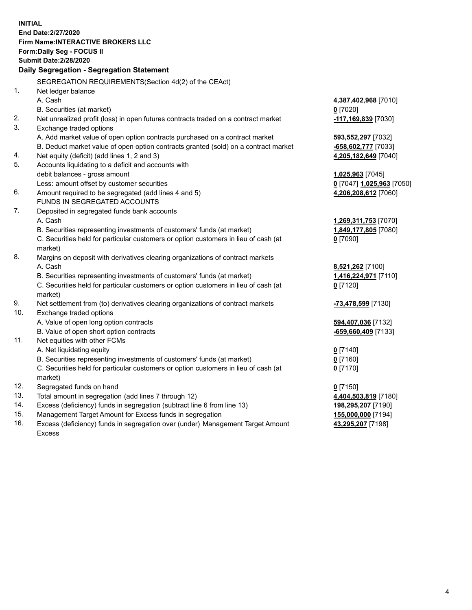**INITIAL End Date:2/27/2020 Firm Name:INTERACTIVE BROKERS LLC Form:Daily Seg - FOCUS II Submit Date:2/28/2020 Daily Segregation - Segregation Statement** SEGREGATION REQUIREMENTS(Section 4d(2) of the CEAct) 1. Net ledger balance A. Cash **4,387,402,968** [7010] B. Securities (at market) **0** [7020] 2. Net unrealized profit (loss) in open futures contracts traded on a contract market **-117,169,839** [7030] 3. Exchange traded options A. Add market value of open option contracts purchased on a contract market **593,552,297** [7032] B. Deduct market value of open option contracts granted (sold) on a contract market **-658,602,777** [7033] 4. Net equity (deficit) (add lines 1, 2 and 3) **4,205,182,649** [7040] 5. Accounts liquidating to a deficit and accounts with debit balances - gross amount **1,025,963** [7045] Less: amount offset by customer securities **0** [7047] **1,025,963** [7050] 6. Amount required to be segregated (add lines 4 and 5) **4,206,208,612** [7060] FUNDS IN SEGREGATED ACCOUNTS 7. Deposited in segregated funds bank accounts A. Cash **1,269,311,753** [7070] B. Securities representing investments of customers' funds (at market) **1,849,177,805** [7080] C. Securities held for particular customers or option customers in lieu of cash (at market) **0** [7090] 8. Margins on deposit with derivatives clearing organizations of contract markets A. Cash **8,521,262** [7100] B. Securities representing investments of customers' funds (at market) **1,416,224,971** [7110] C. Securities held for particular customers or option customers in lieu of cash (at market) **0** [7120] 9. Net settlement from (to) derivatives clearing organizations of contract markets **-73,478,599** [7130] 10. Exchange traded options A. Value of open long option contracts **594,407,036** [7132] B. Value of open short option contracts **-659,660,409** [7133] 11. Net equities with other FCMs A. Net liquidating equity **0** [7140] B. Securities representing investments of customers' funds (at market) **0** [7160] C. Securities held for particular customers or option customers in lieu of cash (at market) **0** [7170] 12. Segregated funds on hand **0** [7150] 13. Total amount in segregation (add lines 7 through 12) **4,404,503,819** [7180] 14. Excess (deficiency) funds in segregation (subtract line 6 from line 13) **198,295,207** [7190] 15. Management Target Amount for Excess funds in segregation **155,000,000** [7194] 16. Excess (deficiency) funds in segregation over (under) Management Target Amount **43,295,207** [7198]

Excess